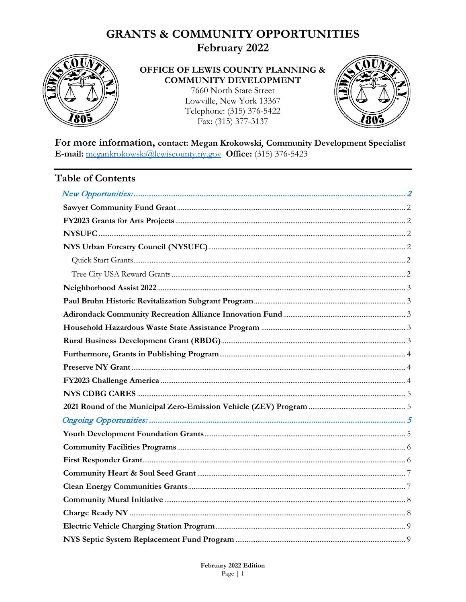# **GRANTS & COMMUNITY OPPORTUNITIES**

February 2022



#### OFFICE OF LEWIS COUNTY PLANNING & **COMMUNITY DEVELOPMENT**

7660 North State Street Lowville, New York 13367 Telephone: (315) 376-5422 Fax: (315) 377-3137



For more information, contact: Megan Krokowski, Community Development Specialist E-mail: megankrokowski@lewiscounty.ny.gov Office: (315) 376-5423

#### **Table of Contents**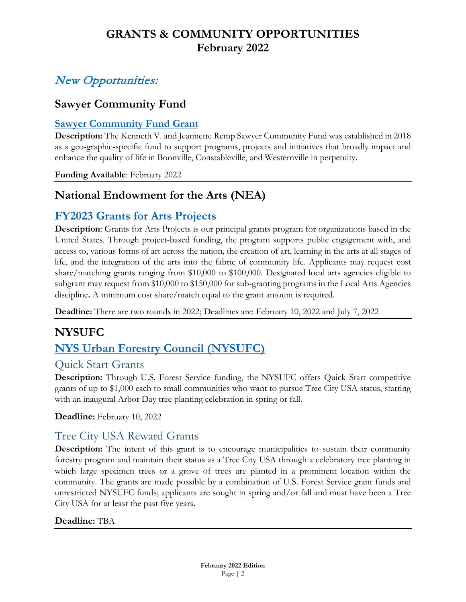# <span id="page-1-0"></span>New Opportunities:

## **Sawyer Community Fund**

#### <span id="page-1-1"></span>**[Sawyer Community Fund Grant](https://www.nnycf.org/western-town-library/#:%7E:text=Sawyer%20and%20Jeannette%20Remp%20Sawyer,school%20graduates%20from%20the%20district.)**

**Description:** The Kenneth V. and Jeannette Remp Sawyer Community Fund was established in 2018 as a geo-graphic-specific fund to support programs, projects and initiatives that broadly impact and enhance the quality of life in Boonville, Constableville, and Westernville in perpetuity.

**Funding Available**: February 2022

## **National Endowment for the Arts (NEA)**

## <span id="page-1-2"></span>**[FY2023 Grants for Arts Projects](https://www.arts.gov/grants/grants-for-arts-projects)**

**Description**: Grants for Arts Projects is our principal grants program for organizations based in the United States. Through project-based funding, the program supports public engagement with, and access to, various forms of art across the nation, the creation of art, learning in the arts at all stages of life, and the integration of the arts into the fabric of community life. Applicants may request cost share/matching grants ranging from \$10,000 to \$100,000. Designated local arts agencies eligible to subgrant may request from \$10,000 to \$150,000 for sub-granting programs in the Local Arts Agencies discipline**.** A minimum cost share/match equal to the grant amount is required.

**Deadline:** There are two rounds in 2022; Deadlines are: February 10, 2022 and July 7, 2022

# <span id="page-1-3"></span>**NYSUFC**

# <span id="page-1-4"></span>**[NYS Urban Forestry Council \(NYSUFC\)](https://nysufc.org/grants/)**

#### <span id="page-1-5"></span>Quick Start Grants

**Description:** Through U.S. Forest Service funding, the NYSUFC offers Quick Start competitive grants of up to \$1,000 each to small communities who want to pursue Tree City USA status, starting with an inaugural Arbor Day tree planting celebration in spring or fall.

**Deadline:** February 10, 2022

#### <span id="page-1-6"></span>Tree City USA Reward Grants

**Description:** The intent of this grant is to encourage municipalities to sustain their community forestry program and maintain their status as a Tree City USA through a celebratory tree planting in which large specimen trees or a grove of trees are planted in a prominent location within the community. The grants are made possible by a combination of U.S. Forest Service grant funds and unrestricted NYSUFC funds; applicants are sought in spring and/or fall and must have been a Tree City USA for at least the past five years.

#### **Deadline:** TBA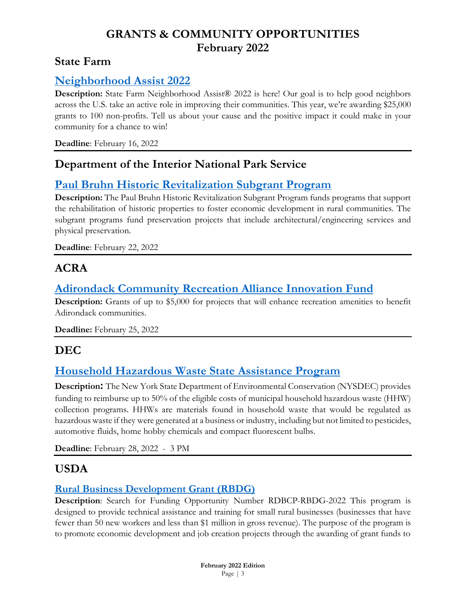#### **State Farm**

#### <span id="page-2-0"></span>**[Neighborhood Assist 2022](https://d3tveo6izsr7d0.cloudfront.net/neighborhoodassist2022/Submission_Guide_2022.pdf)**

**Description:** State Farm Neighborhood Assist® 2022 is here! Our goal is to help good neighbors across the U.S. take an active role in improving their communities. This year, we're awarding \$25,000 grants to 100 non-profits. Tell us about your cause and the positive impact it could make in your community for a chance to win!

**Deadline**: February 16, 2022

#### **Department of the Interior National Park Service**

## <span id="page-2-1"></span>**[Paul Bruhn Historic Revitalization Subgrant Program](https://www.grants.gov/web/grants/view-opportunity.html?oppId=337036)**

**Description:** The Paul Bruhn Historic Revitalization Subgrant Program funds programs that support the rehabilitation of historic properties to foster economic development in rural communities. The subgrant programs fund preservation projects that include architectural/engineering services and physical preservation.

**Deadline**: February 22, 2022

## **ACRA**

## <span id="page-2-2"></span>**[Adirondack Community Recreation Alliance Innovation Fund](https://www.adkrec.org/_files/ugd/be9d39_57d9f59a085847bdb606263643a47d1c.pdf)**

**Description:** Grants of up to \$5,000 for projects that will enhance recreation amenities to benefit Adirondack communities.

**Deadline:** February 25, 2022

## **DEC**

## <span id="page-2-3"></span>**[Household Hazardous Waste State Assistance Program](https://www.dec.ny.gov/chemical/8778.html)**

**Description:** The New York State Department of Environmental Conservation (NYSDEC) provides funding to reimburse up to 50% of the eligible costs of municipal household hazardous waste (HHW) collection programs. HHWs are materials found in household waste that would be regulated as hazardous waste if they were generated at a business or industry, including but not limited to pesticides, automotive fluids, home hobby chemicals and compact fluorescent bulbs.

**Deadline**: February 28, 2022 - 3 PM

## **USDA**

#### <span id="page-2-4"></span>**[Rural Business Development Grant \(RBDG\)](https://www.grants.gov/web/grants/search-grants.html)**

**Description**: Search for Funding Opportunity Number RDBCP-RBDG-2022 This program is designed to provide technical assistance and training for small rural businesses (businesses that have fewer than 50 new workers and less than \$1 million in gross revenue). The purpose of the program is to promote economic development and job creation projects through the awarding of grant funds to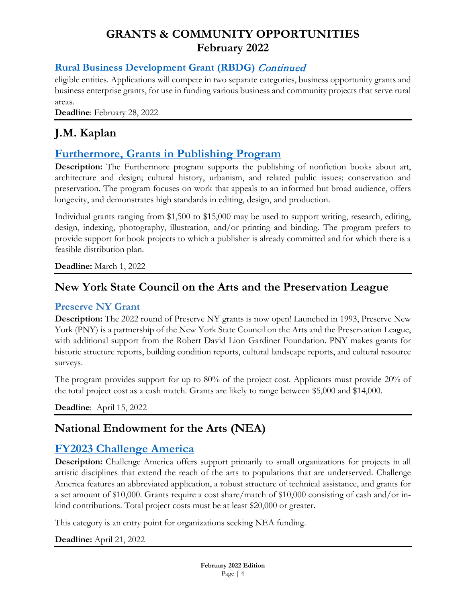#### **[Rural Business Development Grant \(RBDG\)](https://www.grants.gov/web/grants/search-grants.html)** Continued

eligible entities. Applications will compete in two separate categories, business opportunity grants and business enterprise grants, for use in funding various business and community projects that serve rural areas.

**Deadline**: February 28, 2022

# **J.M. Kaplan**

#### <span id="page-3-0"></span>**[Furthermore, Grants in Publishing Program](https://www.furthermore.org/)**

**Description:** The Furthermore program supports the publishing of nonfiction books about art, architecture and design; cultural history, urbanism, and related public issues; conservation and preservation. The program focuses on work that appeals to an informed but broad audience, offers longevity, and demonstrates high standards in editing, design, and production.

Individual grants ranging from \$1,500 to \$15,000 may be used to support writing, research, editing, design, indexing, photography, illustration, and/or printing and binding. The program prefers to provide support for book projects to which a publisher is already committed and for which there is a feasible distribution plan.

**Deadline:** March 1, 2022

#### **New York State Council on the Arts and the Preservation League**

#### <span id="page-3-1"></span>**Preserve NY Grant**

**Description:** The 2022 round of Preserve NY grants is now open! Launched in 1993, Preserve New York (PNY) is a partnership of the New York State Council on the Arts and the Preservation League, with additional support from the Robert David Lion Gardiner Foundation. PNY makes grants for historic structure reports, building condition reports, cultural landscape reports, and cultural resource surveys.

The program provides support for up to 80% of the project cost. Applicants must provide 20% of the total project cost as a cash match. Grants are likely to range between \$5,000 and \$14,000.

**Deadline**: April 15, 2022

#### **National Endowment for the Arts (NEA)**

#### <span id="page-3-2"></span>**[FY2023 Challenge America](https://www.arts.gov/grants/challenge-america)**

**Description:** Challenge America offers support primarily to small organizations for projects in all artistic disciplines that extend the reach of the arts to populations that are underserved. Challenge America features an abbreviated application, a robust structure of technical assistance, and grants for a set amount of \$10,000. Grants require a cost share/match of \$10,000 consisting of cash and/or inkind contributions. Total project costs must be at least \$20,000 or greater.

This category is an entry point for organizations seeking NEA funding.

**Deadline:** April 21, 2022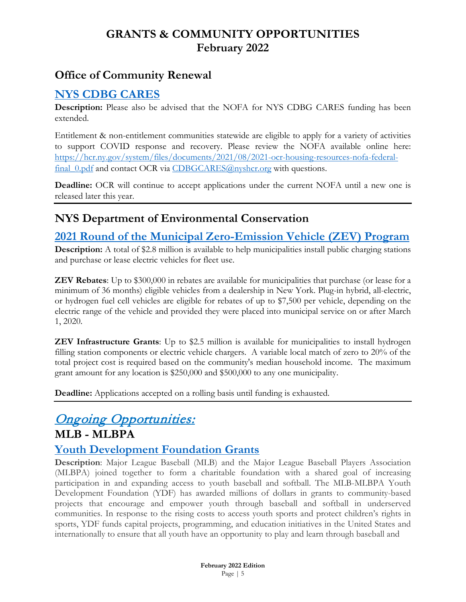## **Office of Community Renewal**

### <span id="page-4-0"></span>**[NYS CDBG CARES](https://hcr.ny.gov/community-development-block-grant#cdbg-cares-fundin)**

**Description:** Please also be advised that the NOFA for NYS CDBG CARES funding has been extended.

Entitlement & non-entitlement communities statewide are eligible to apply for a variety of activities to support COVID response and recovery. Please review the NOFA available online here: [https://hcr.ny.gov/system/files/documents/2021/08/2021-ocr-housing-resources-nofa-federal-](https://hcr.ny.gov/system/files/documents/2021/08/2021-ocr-housing-resources-nofa-federal-final_0.pdf)final 0.pdf and contact OCR via [CDBGCARES@nyshcr.org](mailto:CDBGCARES@nyshcr.org) with questions.

**Deadline:** OCR will continue to accept applications under the current NOFA until a new one is released later this year.

## **NYS Department of Environmental Conservation**

#### <span id="page-4-1"></span>**[2021 Round of the Municipal Zero-Emission Vehicle \(ZEV\) Program](https://www.dec.ny.gov/energy/109181.html#ZEV)**

**Description:** A total of \$2.8 million is available to help municipalities install public charging stations and purchase or lease electric vehicles for fleet use.

**ZEV Rebates**: Up to \$300,000 in rebates are available for municipalities that purchase (or lease for a minimum of 36 months) eligible vehicles from a dealership in New York. Plug-in hybrid, all-electric, or hydrogen fuel cell vehicles are eligible for rebates of up to \$7,500 per vehicle, depending on the electric range of the vehicle and provided they were placed into municipal service on or after March 1, 2020.

**ZEV Infrastructure Grants**: Up to \$2.5 million is available for municipalities to install hydrogen filling station components or electric vehicle chargers. A variable local match of zero to 20% of the total project cost is required based on the community's median household income. The maximum grant amount for any location is \$250,000 and \$500,000 to any one municipality.

**Deadline:** Applications accepted on a rolling basis until funding is exhausted.

#### <span id="page-4-2"></span>**Ongoing Opportunities: MLB - MLBPA**

#### <span id="page-4-3"></span>**[Youth Development Foundation Grants](http://www.mlbpa.org/programs)**

**Description**: Major League Baseball (MLB) and the Major League Baseball Players Association (MLBPA) joined together to form a charitable foundation with a shared goal of increasing participation in and expanding access to youth baseball and softball. The MLB-MLBPA Youth Development Foundation (YDF) has awarded millions of dollars in grants to community-based projects that encourage and empower youth through baseball and softball in underserved communities. In response to the rising costs to access youth sports and protect children's rights in sports, YDF funds capital projects, programming, and education initiatives in the United States and internationally to ensure that all youth have an opportunity to play and learn through baseball and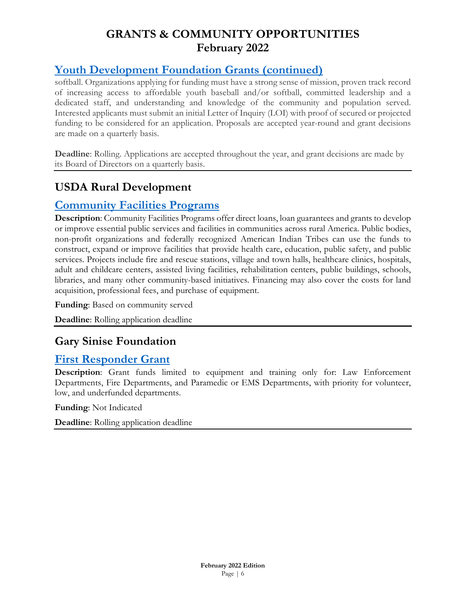## **[Youth Development Foundation Grants](http://www.mlbpa.org/programs) (continued)**

softball. Organizations applying for funding must have a strong sense of mission, proven track record of increasing access to affordable youth baseball and/or softball, committed leadership and a dedicated staff, and understanding and knowledge of the community and population served. Interested applicants must submit an initial Letter of Inquiry (LOI) with proof of secured or projected funding to be considered for an application. Proposals are accepted year-round and grant decisions are made on a quarterly basis.

**Deadline**: Rolling. Applications are accepted throughout the year, and grant decisions are made by its Board of Directors on a quarterly basis.

# **USDA Rural Development**

#### <span id="page-5-0"></span>**[Community Facilities Programs](https://www.rd.usda.gov/programs-services/all-programs/community-facilities-programs)**

**Description**: Community Facilities Programs offer direct loans, loan guarantees and grants to develop or improve essential public services and facilities in communities across rural America. Public bodies, non-profit organizations and federally recognized American Indian Tribes can use the funds to construct, expand or improve facilities that provide health care, education, public safety, and public services. Projects include fire and rescue stations, village and town halls, healthcare clinics, hospitals, adult and childcare centers, assisted living facilities, rehabilitation centers, public buildings, schools, libraries, and many other community-based initiatives. Financing may also cover the costs for land acquisition, professional fees, and purchase of equipment.

**Funding**: Based on community served

**Deadline**: Rolling application deadline

#### **Gary Sinise Foundation**

#### <span id="page-5-1"></span>**[First Responder Grant](https://www.garysinisefoundation.org/first-responders-outreach/)**

**Description**: Grant funds limited to equipment and training only for: Law Enforcement Departments, Fire Departments, and Paramedic or EMS Departments, with priority for volunteer, low, and underfunded departments.

**Funding**: Not Indicated

**Deadline**: Rolling application deadline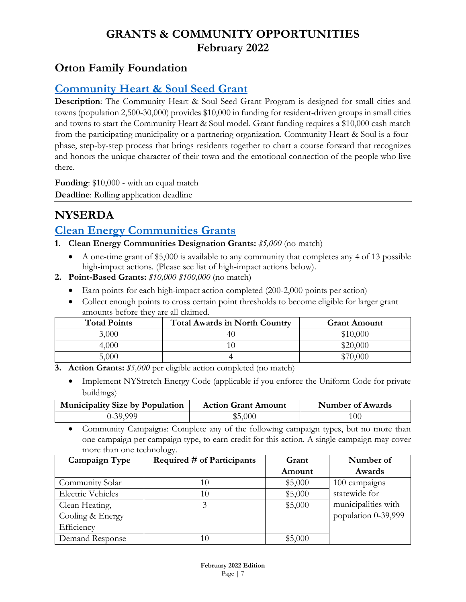## **Orton Family Foundation**

### <span id="page-6-0"></span>**[Community Heart & Soul Seed Grant](https://www.communityheartandsoul.org/seed-grants/)**

**Description**: The Community Heart & Soul Seed Grant Program is designed for small cities and towns (population 2,500-30,000) provides \$10,000 in funding for resident-driven groups in small cities and towns to start the Community Heart & Soul model. Grant funding requires a \$10,000 cash match from the participating municipality or a partnering organization. Community Heart & Soul is a fourphase, step-by-step process that brings residents together to chart a course forward that recognizes and honors the unique character of their town and the emotional connection of the people who live there.

**Funding**: \$10,000 - with an equal match **Deadline**: Rolling application deadline

# **NYSERDA**

## <span id="page-6-1"></span>**[Clean Energy Communities Grants](https://www.nyserda.ny.gov/All-Programs/Programs/Clean-Energy-Communities)**

- **1. Clean Energy Communities Designation Grants:** *\$5,000* (no match)
	- A one-time grant of \$5,000 is available to any community that completes any 4 of 13 possible high-impact actions. (Please see list of high-impact actions below).
- **2. Point-Based Grants:** *\$10,000-\$100,000* (no match)
	- Earn points for each high-impact action completed (200-2,000 points per action)
	- Collect enough points to cross certain point thresholds to become eligible for larger grant amounts before they are all claimed.

| <b>Total Points</b> | <b>Total Awards in North Country</b> | <b>Grant Amount</b> |
|---------------------|--------------------------------------|---------------------|
| 3,000               |                                      | \$10,000            |
| 4,000               |                                      | \$20,000            |
| 5,000               |                                      | \$70,000            |

- **3. Action Grants:** *\$5,000* per eligible action completed (no match)
	- Implement NYStretch Energy Code (applicable if you enforce the Uniform Code for private buildings)

| <b>Municipality Size by Population</b> | <b>Action Grant Amount</b> | Number of Awards |
|----------------------------------------|----------------------------|------------------|
| 0-39,999                               | \$5,000                    | 100              |

• Community Campaigns: Complete any of the following campaign types, but no more than one campaign per campaign type, to earn credit for this action. A single campaign may cover more than one technology.

| Campaign Type            | Required # of Participants | Grant   | Number of           |
|--------------------------|----------------------------|---------|---------------------|
|                          |                            | Amount  | Awards              |
| Community Solar          |                            | \$5,000 | 100 campaigns       |
| <b>Electric Vehicles</b> | 10                         | \$5,000 | statewide for       |
| Clean Heating,           |                            | \$5,000 | municipalities with |
| Cooling & Energy         |                            |         | population 0-39,999 |
| Efficiency               |                            |         |                     |
| Demand Response          |                            | \$5,000 |                     |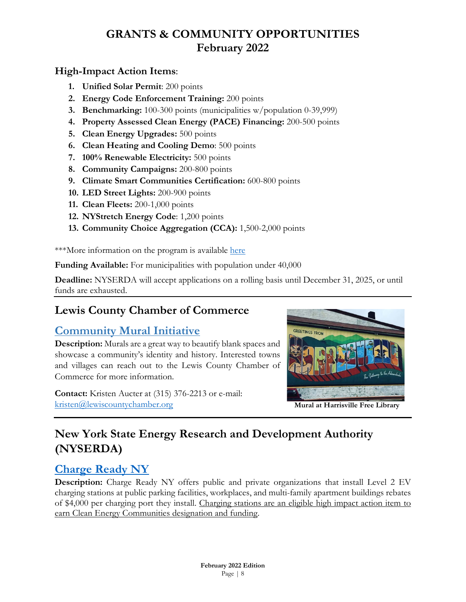#### **High-Impact Action Items**:

- **1. Unified Solar Permit**: 200 points
- **2. Energy Code Enforcement Training:** 200 points
- **3. Benchmarking:** 100-300 points (municipalities w/population 0-39,999)
- **4. Property Assessed Clean Energy (PACE) Financing:** 200-500 points
- **5. Clean Energy Upgrades:** 500 points
- **6. Clean Heating and Cooling Demo**: 500 points
- **7. 100% Renewable Electricity:** 500 points
- **8. Community Campaigns:** 200-800 points
- **9. Climate Smart Communities Certification:** 600-800 points
- **10. LED Street Lights:** 200-900 points
- **11. Clean Fleets:** 200-1,000 points
- **12. NYStretch Energy Code**: 1,200 points
- **13. Community Choice Aggregation (CCA):** 1,500-2,000 points

\*\*\*More information on the program is available [here](https://portal.nyserda.ny.gov/servlet/servlet.FileDownload?file=00Pt000000S0ufMEAR)

**Funding Available:** For municipalities with population under 40,000

**Deadline:** NYSERDA will accept applications on a rolling basis until December 31, 2025, or until funds are exhausted.

## **[Lewis County Chamber of Commerce](https://adirondackstughill.com/)**

## <span id="page-7-0"></span>**Community Mural Initiative**

**Description:** Murals are a great way to beautify blank spaces and showcase a community's identity and history. Interested towns and villages can reach out to the Lewis County Chamber of Commerce for more information.

**Contact:** Kristen Aucter at (315) 376-2213 or e-mail: [kristen@lewiscountychamber.org](mailto:kristen@lewiscountychamber.org) **Mural at Harrisville Free Library**



# **New York State Energy Research and Development Authority (NYSERDA)**

## <span id="page-7-1"></span>**[Charge Ready NY](https://www.nyserda.ny.gov/All-Programs/Programs/ChargeNY/Charge-Electric/Charging-Station-Programs/Charge-Ready-NY)**

**Description:** Charge Ready NY offers public and private organizations that install Level 2 EV charging stations at public parking facilities, workplaces, and multi-family apartment buildings rebates of \$4,000 per charging port they install. Charging stations are an eligible high impact action item to earn Clean Energy Communities designation and funding.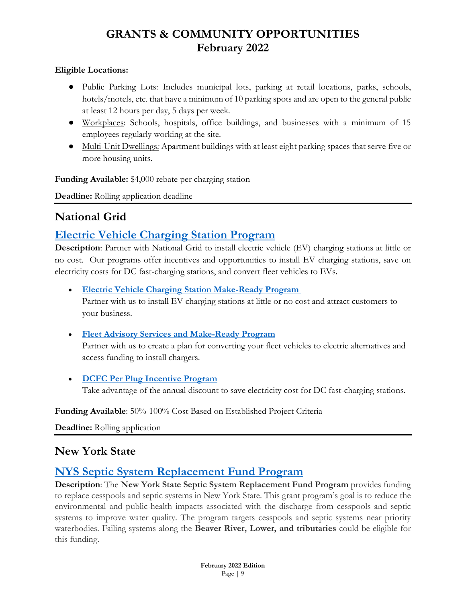#### **Eligible Locations:**

- Public Parking Lots: Includes municipal lots, parking at retail locations, parks, schools, hotels/motels, etc. that have a minimum of 10 parking spots and are open to the general public at least 12 hours per day, 5 days per week.
- Workplaces: Schools, hospitals, office buildings, and businesses with a minimum of 15 employees regularly working at the site.
- Multi-Unit Dwellings*:* Apartment buildings with at least eight parking spaces that serve five or more housing units.

**Funding Available:** \$4,000 rebate per charging station

**Deadline:** Rolling application deadline

## **National Grid**

#### <span id="page-8-0"></span>**[Electric Vehicle Charging Station Program](https://www.nationalgridus.com/upstate-ny-business/Energy-Saving-Programs/Electric-Vehicle-Charging-Station-Program.aspx#ev)**

**Description**: Partner with National Grid to install electric vehicle (EV) charging stations at little or no cost. Our programs offer incentives and opportunities to install EV charging stations, save on electricity costs for DC fast-charging stations, and convert fleet vehicles to EVs.

• **[Electric Vehicle Charging Station Make-Ready Program](https://www.nationalgridus.com/upstate-ny-business/Energy-Saving-Programs/Electric-Vehicle-Charging-Station-Program.aspx#ev)** Partner with us to install EV charging stations at little or no cost and attract customers to your business.

• **[Fleet Advisory Services and Make-Ready Program](https://www.nationalgridus.com/upstate-ny-business/Energy-Saving-Programs/Electric-Vehicle-Charging-Station-Program.aspx#fleet)**

Partner with us to create a plan for converting your fleet vehicles to electric alternatives and access funding to install chargers.

• **[DCFC Per](https://www.nationalgridus.com/upstate-ny-business/Energy-Saving-Programs/Electric-Vehicle-Charging-Station-Program.aspx#dcfc) [Plug Incentive Program](https://www.nationalgridus.com/upstate-ny-business/Energy-Saving-Programs/Electric-Vehicle-Charging-Station-Program.aspx#dcfc)**

Take advantage of the annual discount to save electricity cost for DC fast-charging stations.

**Funding Available**: 50%-100% Cost Based on Established Project Criteria

**Deadline:** Rolling application

#### **New York State**

#### <span id="page-8-1"></span>**[NYS Septic System Replacement Fund Program](https://www.lewiscounty.org/departments/planning/septicfund)**

**Description**: The **New York State Septic System Replacement Fund Program** provides funding to replace cesspools and septic systems in New York State. This grant program's goal is to reduce the environmental and public-health impacts associated with the discharge from cesspools and septic systems to improve water quality. The program targets cesspools and septic systems near priority waterbodies. Failing systems along the **Beaver River, Lower, and tributaries** could be eligible for this funding.